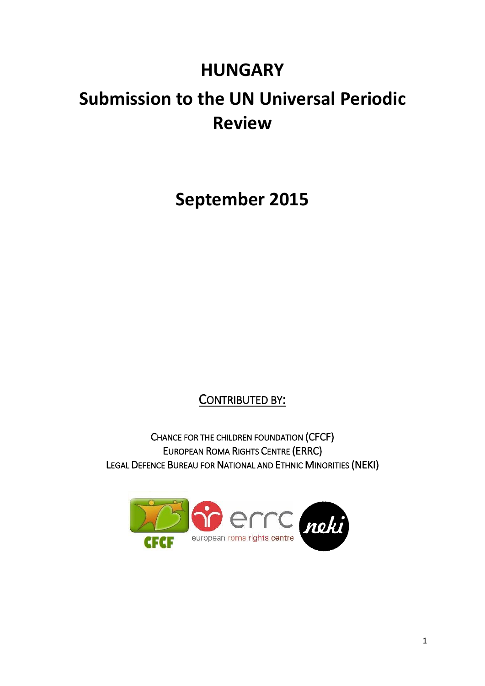## **HUNGARY**

# **Submission to the UN Universal Periodic Review**

**September 2015**

CONTRIBUTED BY:

CHANCE FOR THE CHILDREN FOUNDATION (CFCF) EUROPEAN ROMA RIGHTS CENTRE (ERRC) LEGAL DEFENCE BUREAU FOR NATIONAL AND ETHNIC MINORITIES (NEKI)

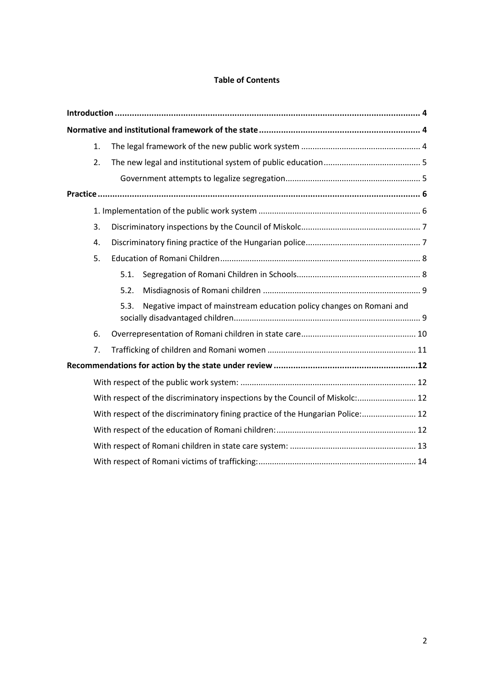#### **Table of Contents**

|  | 1. |                                                                                |  |
|--|----|--------------------------------------------------------------------------------|--|
|  | 2. |                                                                                |  |
|  |    |                                                                                |  |
|  |    |                                                                                |  |
|  |    |                                                                                |  |
|  | 3. |                                                                                |  |
|  | 4. |                                                                                |  |
|  | 5. |                                                                                |  |
|  |    | 5.1.                                                                           |  |
|  |    | 5.2.                                                                           |  |
|  |    | Negative impact of mainstream education policy changes on Romani and<br>5.3.   |  |
|  | 6. |                                                                                |  |
|  | 7. |                                                                                |  |
|  |    |                                                                                |  |
|  |    |                                                                                |  |
|  |    | With respect of the discriminatory inspections by the Council of Miskolc: 12   |  |
|  |    | With respect of the discriminatory fining practice of the Hungarian Police: 12 |  |
|  |    |                                                                                |  |
|  |    |                                                                                |  |
|  |    |                                                                                |  |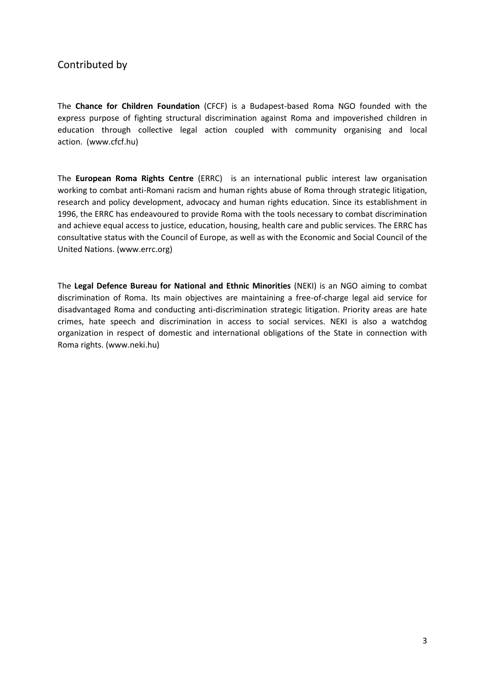## Contributed by

The **Chance for Children Foundation** (CFCF) is a Budapest-based Roma NGO founded with the express purpose of fighting structural discrimination against Roma and impoverished children in education through collective legal action coupled with community organising and local action. (www.cfcf.hu)

The **European Roma Rights Centre** (ERRC) is an international public interest law organisation working to combat anti-Romani racism and human rights abuse of Roma through strategic litigation, research and policy development, advocacy and human rights education. Since its establishment in 1996, the ERRC has endeavoured to provide Roma with the tools necessary to combat discrimination and achieve equal access to justice, education, housing, health care and public services. The ERRC has consultative status with the Council of Europe, as well as with the Economic and Social Council of the United Nations. (www.errc.org)

The **Legal Defence Bureau for National and Ethnic Minorities** (NEKI) is an NGO aiming to combat discrimination of Roma. Its main objectives are maintaining a free-of-charge legal aid service for disadvantaged Roma and conducting anti-discrimination strategic litigation. Priority areas are hate crimes, hate speech and discrimination in access to social services. NEKI is also a watchdog organization in respect of domestic and international obligations of the State in connection with Roma rights. (www.neki.hu)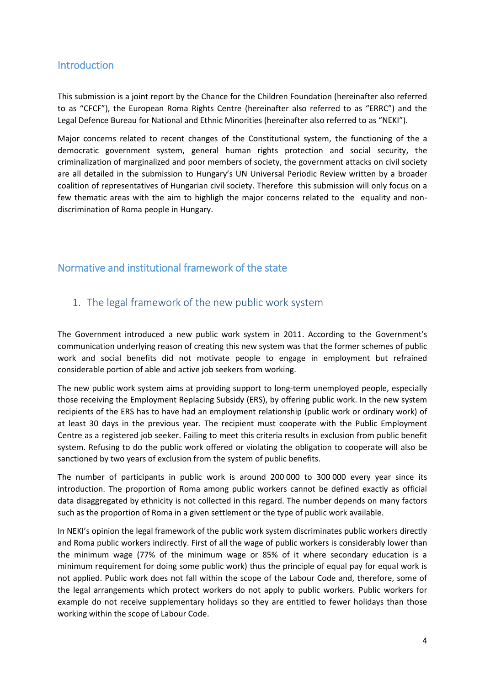## <span id="page-3-0"></span>**Introduction**

This submission is a joint report by the Chance for the Children Foundation (hereinafter also referred to as "CFCF"), the European Roma Rights Centre (hereinafter also referred to as "ERRC") and the Legal Defence Bureau for National and Ethnic Minorities (hereinafter also referred to as "NEKI").

Major concerns related to recent changes of the Constitutional system, the functioning of the a democratic government system, general human rights protection and social security, the criminalization of marginalized and poor members of society, the government attacks on civil society are all detailed in the submission to Hungary's UN Universal Periodic Review written by a broader coalition of representatives of Hungarian civil society. Therefore this submission will only focus on a few thematic areas with the aim to highligh the major concerns related to the equality and nondiscrimination of Roma people in Hungary.

## <span id="page-3-1"></span>Normative and institutional framework of the state

## <span id="page-3-2"></span>1. The legal framework of the new public work system

The Government introduced a new public work system in 2011. According to the Government's communication underlying reason of creating this new system was that the former schemes of public work and social benefits did not motivate people to engage in employment but refrained considerable portion of able and active job seekers from working.

The new public work system aims at providing support to long-term unemployed people, especially those receiving the Employment Replacing Subsidy (ERS), by offering public work. In the new system recipients of the ERS has to have had an employment relationship (public work or ordinary work) of at least 30 days in the previous year. The recipient must cooperate with the Public Employment Centre as a registered job seeker. Failing to meet this criteria results in exclusion from public benefit system. Refusing to do the public work offered or violating the obligation to cooperate will also be sanctioned by two years of exclusion from the system of public benefits.

The number of participants in public work is around 200 000 to 300 000 every year since its introduction. The proportion of Roma among public workers cannot be defined exactly as official data disaggregated by ethnicity is not collected in this regard. The number depends on many factors such as the proportion of Roma in a given settlement or the type of public work available.

In NEKI's opinion the legal framework of the public work system discriminates public workers directly and Roma public workers indirectly. First of all the wage of public workers is considerably lower than the minimum wage (77% of the minimum wage or 85% of it where secondary education is a minimum requirement for doing some public work) thus the principle of equal pay for equal work is not applied. Public work does not fall within the scope of the Labour Code and, therefore, some of the legal arrangements which protect workers do not apply to public workers. Public workers for example do not receive supplementary holidays so they are entitled to fewer holidays than those working within the scope of Labour Code.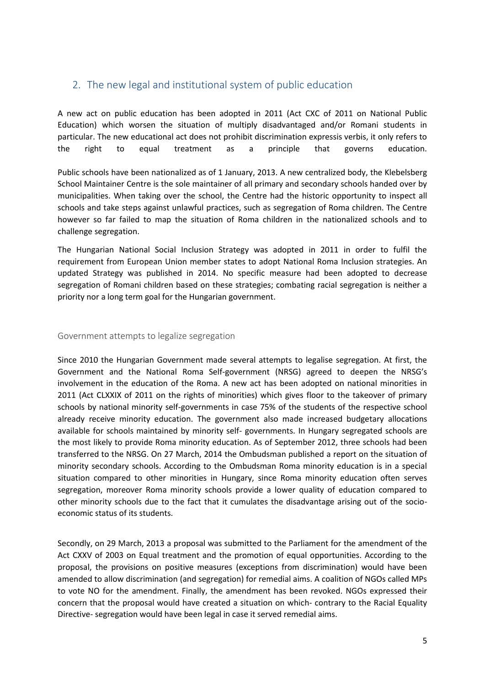## <span id="page-4-0"></span>2. The new legal and institutional system of public education

A new act on public education has been adopted in 2011 (Act CXC of 2011 on National Public Education) which worsen the situation of multiply disadvantaged and/or Romani students in particular. The new educational act does not prohibit discrimination expressis verbis, it only refers to the right to equal treatment as a principle that governs education.

Public schools have been nationalized as of 1 January, 2013. A new centralized body, the Klebelsberg School Maintainer Centre is the sole maintainer of all primary and secondary schools handed over by municipalities. When taking over the school, the Centre had the historic opportunity to inspect all schools and take steps against unlawful practices, such as segregation of Roma children. The Centre however so far failed to map the situation of Roma children in the nationalized schools and to challenge segregation.

The Hungarian National Social Inclusion Strategy was adopted in 2011 in order to fulfil the requirement from European Union member states to adopt National Roma Inclusion strategies. An updated Strategy was published in 2014. No specific measure had been adopted to decrease segregation of Romani children based on these strategies; combating racial segregation is neither a priority nor a long term goal for the Hungarian government.

#### <span id="page-4-1"></span>Government attempts to legalize segregation

Since 2010 the Hungarian Government made several attempts to legalise segregation. At first, the Government and the National Roma Self-government (NRSG) agreed to deepen the NRSG's involvement in the education of the Roma. A new act has been adopted on national minorities in 2011 (Act CLXXIX of 2011 on the rights of minorities) which gives floor to the takeover of primary schools by national minority self-governments in case 75% of the students of the respective school already receive minority education. The government also made increased budgetary allocations available for schools maintained by minority self- governments. In Hungary segregated schools are the most likely to provide Roma minority education. As of September 2012, three schools had been transferred to the NRSG. On 27 March, 2014 the Ombudsman published a report on the situation of minority secondary schools. According to the Ombudsman Roma minority education is in a special situation compared to other minorities in Hungary, since Roma minority education often serves segregation, moreover Roma minority schools provide a lower quality of education compared to other minority schools due to the fact that it cumulates the disadvantage arising out of the socioeconomic status of its students.

Secondly, on 29 March, 2013 a proposal was submitted to the Parliament for the amendment of the Act CXXV of 2003 on Equal treatment and the promotion of equal opportunities. According to the proposal, the provisions on positive measures (exceptions from discrimination) would have been amended to allow discrimination (and segregation) for remedial aims. A coalition of NGOs called MPs to vote NO for the amendment. Finally, the amendment has been revoked. NGOs expressed their concern that the proposal would have created a situation on which- contrary to the Racial Equality Directive- segregation would have been legal in case it served remedial aims.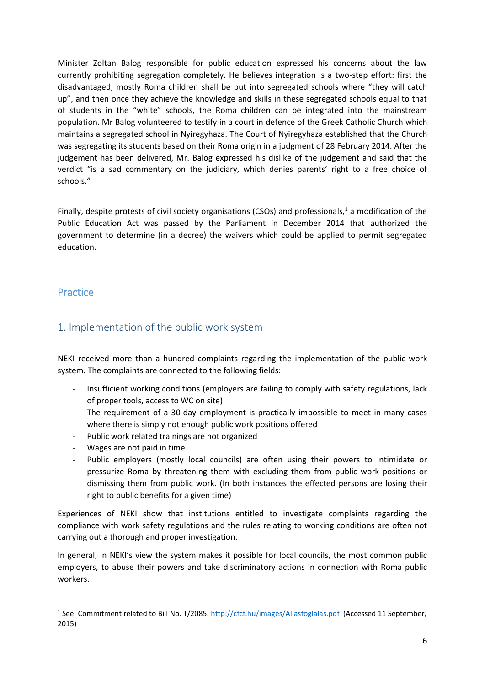Minister Zoltan Balog responsible for public education expressed his concerns about the law currently prohibiting segregation completely. He believes integration is a two-step effort: first the disadvantaged, mostly Roma children shall be put into segregated schools where "they will catch up", and then once they achieve the knowledge and skills in these segregated schools equal to that of students in the "white" schools, the Roma children can be integrated into the mainstream population. Mr Balog volunteered to testify in a court in defence of the Greek Catholic Church which maintains a segregated school in Nyiregyhaza. The Court of Nyiregyhaza established that the Church was segregating its students based on their Roma origin in a judgment of 28 February 2014. After the judgement has been delivered, Mr. Balog expressed his dislike of the judgement and said that the verdict "is a sad commentary on the judiciary, which denies parents' right to a free choice of schools."

Finally, despite protests of civil society organisations (CSOs) and professionals,<sup>1</sup> a modification of the Public Education Act was passed by the Parliament in December 2014 that authorized the government to determine (in a decree) the waivers which could be applied to permit segregated education.

## <span id="page-5-0"></span>**Practice**

1

## <span id="page-5-1"></span>1. Implementation of the public work system

NEKI received more than a hundred complaints regarding the implementation of the public work system. The complaints are connected to the following fields:

- Insufficient working conditions (employers are failing to comply with safety regulations, lack of proper tools, access to WC on site)
- The requirement of a 30-day employment is practically impossible to meet in many cases where there is simply not enough public work positions offered
- Public work related trainings are not organized
- Wages are not paid in time
- Public employers (mostly local councils) are often using their powers to intimidate or pressurize Roma by threatening them with excluding them from public work positions or dismissing them from public work. (In both instances the effected persons are losing their right to public benefits for a given time)

Experiences of NEKI show that institutions entitled to investigate complaints regarding the compliance with work safety regulations and the rules relating to working conditions are often not carrying out a thorough and proper investigation.

In general, in NEKI's view the system makes it possible for local councils, the most common public employers, to abuse their powers and take discriminatory actions in connection with Roma public workers.

<sup>&</sup>lt;sup>1</sup> See: Commitment related to Bill No. T/2085.<http://cfcf.hu/images/Allasfoglalas.pdf>(Accessed 11 September, 2015)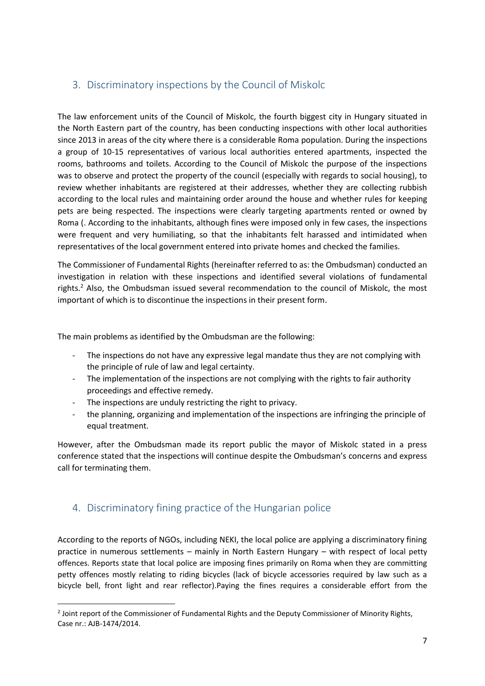## <span id="page-6-0"></span>3. Discriminatory inspections by the Council of Miskolc

The law enforcement units of the Council of Miskolc, the fourth biggest city in Hungary situated in the North Eastern part of the country, has been conducting inspections with other local authorities since 2013 in areas of the city where there is a considerable Roma population. During the inspections a group of 10-15 representatives of various local authorities entered apartments, inspected the rooms, bathrooms and toilets. According to the Council of Miskolc the purpose of the inspections was to observe and protect the property of the council (especially with regards to social housing), to review whether inhabitants are registered at their addresses, whether they are collecting rubbish according to the local rules and maintaining order around the house and whether rules for keeping pets are being respected. The inspections were clearly targeting apartments rented or owned by Roma (. According to the inhabitants, although fines were imposed only in few cases, the inspections were frequent and very humiliating, so that the inhabitants felt harassed and intimidated when representatives of the local government entered into private homes and checked the families.

The Commissioner of Fundamental Rights (hereinafter referred to as: the Ombudsman) conducted an investigation in relation with these inspections and identified several violations of fundamental rights.<sup>2</sup> Also, the Ombudsman issued several recommendation to the council of Miskolc, the most important of which is to discontinue the inspections in their present form.

The main problems as identified by the Ombudsman are the following:

- The inspections do not have any expressive legal mandate thus they are not complying with the principle of rule of law and legal certainty.
- The implementation of the inspections are not complying with the rights to fair authority proceedings and effective remedy.
- The inspections are unduly restricting the right to privacy.
- the planning, organizing and implementation of the inspections are infringing the principle of equal treatment.

However, after the Ombudsman made its report public the mayor of Miskolc stated in a press conference stated that the inspections will continue despite the Ombudsman's concerns and express call for terminating them.

## <span id="page-6-1"></span>4. Discriminatory fining practice of the Hungarian police

1

According to the reports of NGOs, including NEKI, the local police are applying a discriminatory fining practice in numerous settlements – mainly in North Eastern Hungary – with respect of local petty offences. Reports state that local police are imposing fines primarily on Roma when they are committing petty offences mostly relating to riding bicycles (lack of bicycle accessories required by law such as a bicycle bell, front light and rear reflector).Paying the fines requires a considerable effort from the

<sup>&</sup>lt;sup>2</sup> Joint report of the Commissioner of Fundamental Rights and the Deputy Commissioner of Minority Rights, Case nr.: AJB-1474/2014.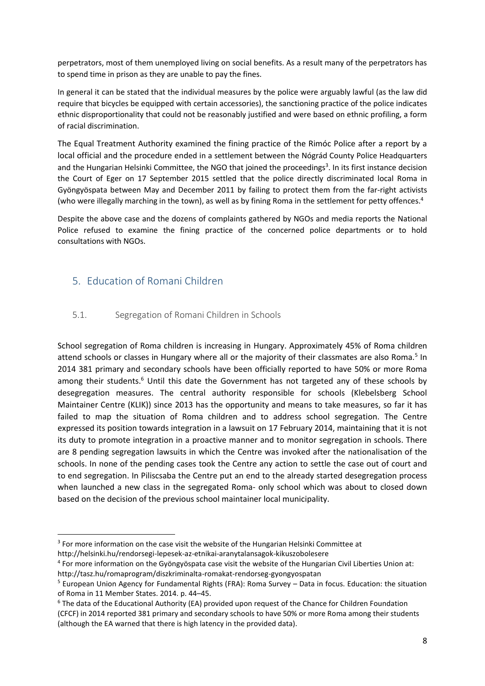perpetrators, most of them unemployed living on social benefits. As a result many of the perpetrators has to spend time in prison as they are unable to pay the fines.

In general it can be stated that the individual measures by the police were arguably lawful (as the law did require that bicycles be equipped with certain accessories), the sanctioning practice of the police indicates ethnic disproportionality that could not be reasonably justified and were based on ethnic profiling, a form of racial discrimination.

The Equal Treatment Authority examined the fining practice of the Rimóc Police after a report by a local official and the procedure ended in a settlement between the Nógrád County Police Headquarters and the Hungarian Helsinki Committee, the NGO that joined the proceedings<sup>3</sup>. In its first instance decision the Court of Eger on 17 September 2015 settled that the police directly discriminated local Roma in Gyöngyöspata between May and December 2011 by failing to protect them from the far-right activists (who were illegally marching in the town), as well as by fining Roma in the settlement for petty offences. 4

Despite the above case and the dozens of complaints gathered by NGOs and media reports the National Police refused to examine the fining practice of the concerned police departments or to hold consultations with NGOs.

## <span id="page-7-0"></span>5. Education of Romani Children

#### <span id="page-7-1"></span>5.1. Segregation of Romani Children in Schools

School segregation of Roma children is increasing in Hungary. Approximately 45% of Roma children attend schools or classes in Hungary where all or the majority of their classmates are also Roma.<sup>5</sup> In 2014 381 primary and secondary schools have been officially reported to have 50% or more Roma among their students.<sup>6</sup> Until this date the Government has not targeted any of these schools by desegregation measures. The central authority responsible for schools (Klebelsberg School Maintainer Centre (KLIK)) since 2013 has the opportunity and means to take measures, so far it has failed to map the situation of Roma children and to address school segregation. The Centre expressed its position towards integration in a lawsuit on 17 February 2014, maintaining that it is not its duty to promote integration in a proactive manner and to monitor segregation in schools. There are 8 pending segregation lawsuits in which the Centre was invoked after the nationalisation of the schools. In none of the pending cases took the Centre any action to settle the case out of court and to end segregation. In Piliscsaba the Centre put an end to the already started desegregation process when launched a new class in the segregated Roma- only school which was about to closed down based on the decision of the previous school maintainer local municipality.

1

 $3$  For more information on the case visit the website of the Hungarian Helsinki Committee at

http://helsinki.hu/rendorsegi-lepesek-az-etnikai-aranytalansagok-kikuszobolesere

<sup>4</sup> For more information on the Gyöngyöspata case visit the website of the Hungarian Civil Liberties Union at:

http://tasz.hu/romaprogram/diszkriminalta-romakat-rendorseg-gyongyospatan

 $<sup>5</sup>$  European Union Agency for Fundamental Rights (FRA): Roma Survey – Data in focus. Education: the situation</sup> of Roma in 11 Member States. 2014. p. 44–45.

<sup>6</sup> The data of the Educational Authority (EA) provided upon request of the Chance for Children Foundation (CFCF) in 2014 reported 381 primary and secondary schools to have 50% or more Roma among their students (although the EA warned that there is high latency in the provided data).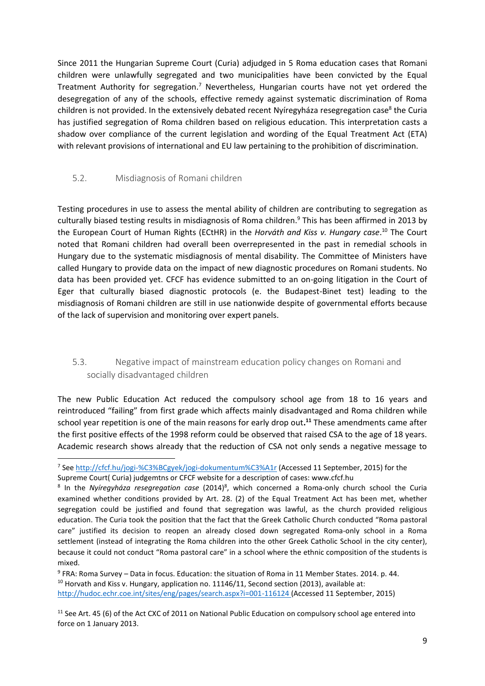Since 2011 the Hungarian Supreme Court (Curia) adjudged in 5 Roma education cases that Romani children were unlawfully segregated and two municipalities have been convicted by the Equal Treatment Authority for segregation.<sup>7</sup> Nevertheless, Hungarian courts have not yet ordered the desegregation of any of the schools, effective remedy against systematic discrimination of Roma children is not provided. In the extensively debated recent Nyíregyháza resegregation case<sup>8</sup> the Curia has justified segregation of Roma children based on religious education. This interpretation casts a shadow over compliance of the current legislation and wording of the Equal Treatment Act (ETA) with relevant provisions of international and EU law pertaining to the prohibition of discrimination.

#### <span id="page-8-0"></span>5.2. Misdiagnosis of Romani children

**.** 

Testing procedures in use to assess the mental ability of children are contributing to segregation as culturally biased testing results in misdiagnosis of Roma children. <sup>9</sup> This has been affirmed in 2013 by the European Court of Human Rights (ECtHR) in the *Horváth and Kiss v. Hungary case*. <sup>10</sup> The Court noted that Romani children had overall been overrepresented in the past in remedial schools in Hungary due to the systematic misdiagnosis of mental disability. The Committee of Ministers have called Hungary to provide data on the impact of new diagnostic procedures on Romani students. No data has been provided yet. CFCF has evidence submitted to an on-going litigation in the Court of Eger that culturally biased diagnostic protocols (e. the Budapest-Binet test) leading to the misdiagnosis of Romani children are still in use nationwide despite of governmental efforts because of the lack of supervision and monitoring over expert panels.

### <span id="page-8-1"></span>5.3. Negative impact of mainstream education policy changes on Romani and socially disadvantaged children

The new Public Education Act reduced the compulsory school age from 18 to 16 years and reintroduced "failing" from first grade which affects mainly disadvantaged and Roma children while school year repetition is one of the main reasons for early drop out**. <sup>11</sup>** These amendments came after the first positive effects of the 1998 reform could be observed that raised CSA to the age of 18 years. Academic research shows already that the reduction of CSA not only sends a negative message to

9 FRA: Roma Survey – Data in focus. Education: the situation of Roma in 11 Member States. 2014. p. 44.  $10$  Horvath and Kiss v. Hungary, application no. 11146/11, Second section (2013), available at: <http://hudoc.echr.coe.int/sites/eng/pages/search.aspx?i=001-116124> (Accessed 11 September, 2015)

<sup>11</sup> See Art. 45 (6) of the Act CXC of 2011 on National Public Education on compulsory school age entered into force on 1 January 2013.

<sup>&</sup>lt;sup>7</sup> See<http://cfcf.hu/jogi-%C3%BCgyek/jogi-dokumentum%C3%A1r> (Accessed 11 September, 2015) for the Supreme Court( Curia) judgemtns or CFCF website for a description of cases: www.cfcf.hu

<sup>8</sup> In the *Nyíregyháza resegregation case* (2014)<sup>8</sup> , which concerned a Roma-only church school the Curia examined whether conditions provided by Art. 28. (2) of the Equal Treatment Act has been met, whether segregation could be justified and found that segregation was lawful, as the church provided religious education. The Curia took the position that the fact that the Greek Catholic Church conducted "Roma pastoral care" justified its decision to reopen an already closed down segregated Roma-only school in a Roma settlement (instead of integrating the Roma children into the other Greek Catholic School in the city center), because it could not conduct "Roma pastoral care" in a school where the ethnic composition of the students is mixed.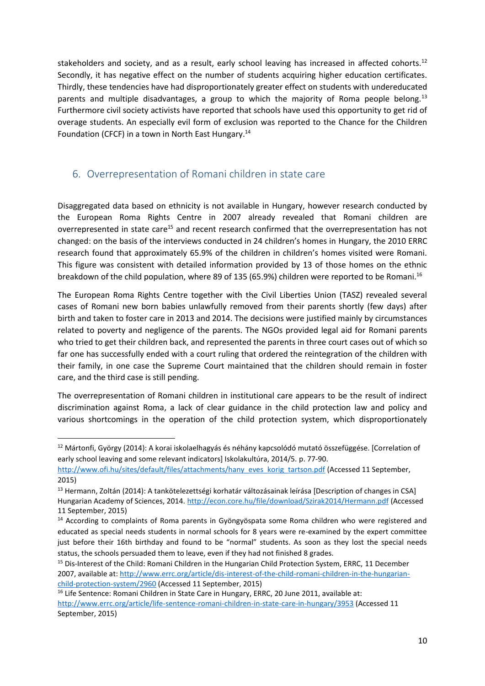stakeholders and society, and as a result, early school leaving has increased in affected cohorts.<sup>12</sup> Secondly, it has negative effect on the number of students acquiring higher education certificates. Thirdly, these tendencies have had disproportionately greater effect on students with undereducated parents and multiple disadvantages, a group to which the majority of Roma people belong.<sup>13</sup> Furthermore civil society activists have reported that schools have used this opportunity to get rid of overage students. An especially evil form of exclusion was reported to the Chance for the Children Foundation (CFCF) in a town in North East Hungary.<sup>14</sup>

## <span id="page-9-0"></span>6. Overrepresentation of Romani children in state care

Disaggregated data based on ethnicity is not available in Hungary, however research conducted by the European Roma Rights Centre in 2007 already revealed that Romani children are overrepresented in state care<sup>15</sup> and recent research confirmed that the overrepresentation has not changed: on the basis of the interviews conducted in 24 children's homes in Hungary, the 2010 ERRC research found that approximately 65.9% of the children in children's homes visited were Romani. This figure was consistent with detailed information provided by 13 of those homes on the ethnic breakdown of the child population, where 89 of 135 (65.9%) children were reported to be Romani.<sup>16</sup>

The European Roma Rights Centre together with the Civil Liberties Union (TASZ) revealed several cases of Romani new born babies unlawfully removed from their parents shortly (few days) after birth and taken to foster care in 2013 and 2014. The decisions were justified mainly by circumstances related to poverty and negligence of the parents. The NGOs provided legal aid for Romani parents who tried to get their children back, and represented the parents in three court cases out of which so far one has successfully ended with a court ruling that ordered the reintegration of the children with their family, in one case the Supreme Court maintained that the children should remain in foster care, and the third case is still pending.

The overrepresentation of Romani children in institutional care appears to be the result of indirect discrimination against Roma, a lack of clear guidance in the child protection law and policy and various shortcomings in the operation of the child protection system, which disproportionately

**.** 

<sup>&</sup>lt;sup>12</sup> Mártonfi, György (2014): A korai iskolaelhagyás és néhány kapcsolódó mutató összefüggése. [Correlation of early school leaving and some relevant indicators] Iskolakultúra, 2014/5. p. 77-90.

[http://www.ofi.hu/sites/default/files/attachments/hany\\_eves\\_korig\\_tartson.pdf](http://www.ofi.hu/sites/default/files/attachments/hany_eves_korig_tartson.pdf) (Accessed 11 September, 2015)

<sup>&</sup>lt;sup>13</sup> Hermann, Zoltán (2014): A tankötelezettségi korhatár változásainak leírása [Description of changes in CSA] Hungarian Academy of Sciences, 2014.<http://econ.core.hu/file/download/Szirak2014/Hermann.pdf> (Accessed 11 September, 2015)

<sup>&</sup>lt;sup>14</sup> According to complaints of Roma parents in Gyöngyöspata some Roma children who were registered and educated as special needs students in normal schools for 8 years were re-examined by the expert committee just before their 16th birthday and found to be "normal" students. As soon as they lost the special needs status, the schools persuaded them to leave, even if they had not finished 8 grades.

<sup>&</sup>lt;sup>15</sup> Dis-Interest of the Child: Romani Children in the Hungarian Child Protection System, ERRC, 11 December 2007, available at: [http://www.errc.org/article/dis-interest-of-the-child-romani-children-in-the-hungarian](http://www.errc.org/article/dis-interest-of-the-child-romani-children-in-the-hungarian-child-protection-system/2960)[child-protection-system/2960](http://www.errc.org/article/dis-interest-of-the-child-romani-children-in-the-hungarian-child-protection-system/2960) (Accessed 11 September, 2015)

<sup>&</sup>lt;sup>16</sup> Life Sentence: Romani Children in State Care in Hungary, ERRC, 20 June 2011, available at: <http://www.errc.org/article/life-sentence-romani-children-in-state-care-in-hungary/3953> (Accessed 11 September, 2015)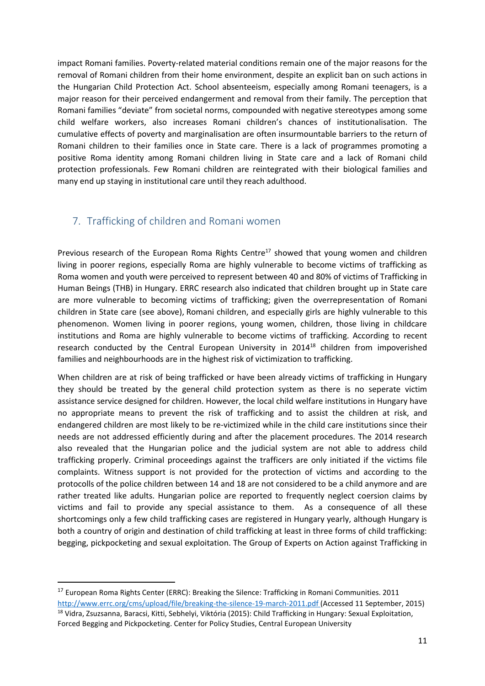impact Romani families. Poverty-related material conditions remain one of the major reasons for the removal of Romani children from their home environment, despite an explicit ban on such actions in the Hungarian Child Protection Act. School absenteeism, especially among Romani teenagers, is a major reason for their perceived endangerment and removal from their family. The perception that Romani families "deviate" from societal norms, compounded with negative stereotypes among some child welfare workers, also increases Romani children's chances of institutionalisation. The cumulative effects of poverty and marginalisation are often insurmountable barriers to the return of Romani children to their families once in State care. There is a lack of programmes promoting a positive Roma identity among Romani children living in State care and a lack of Romani child protection professionals. Few Romani children are reintegrated with their biological families and many end up staying in institutional care until they reach adulthood.

## <span id="page-10-0"></span>7. Trafficking of children and Romani women

Previous research of the European Roma Rights Centre<sup>17</sup> showed that young women and children living in poorer regions, especially Roma are highly vulnerable to become victims of trafficking as Roma women and youth were perceived to represent between 40 and 80% of victims of Trafficking in Human Beings (THB) in Hungary. ERRC research also indicated that children brought up in State care are more vulnerable to becoming victims of trafficking; given the overrepresentation of Romani children in State care (see above), Romani children, and especially girls are highly vulnerable to this phenomenon. Women living in poorer regions, young women, children, those living in childcare institutions and Roma are highly vulnerable to become victims of trafficking. According to recent research conducted by the Central European University in 2014<sup>18</sup> children from impoverished families and neighbourhoods are in the highest risk of victimization to trafficking.

When children are at risk of being trafficked or have been already victims of trafficking in Hungary they should be treated by the general child protection system as there is no seperate victim assistance service designed for children. However, the local child welfare institutions in Hungary have no appropriate means to prevent the risk of trafficking and to assist the children at risk, and endangered children are most likely to be re-victimized while in the child care institutions since their needs are not addressed efficiently during and after the placement procedures. The 2014 research also revealed that the Hungarian police and the judicial system are not able to address child trafficking properly. Criminal proceedings against the trafficers are only initiated if the victims file complaints. Witness support is not provided for the protection of victims and according to the protocolls of the police children between 14 and 18 are not considered to be a child anymore and are rather treated like adults. Hungarian police are reported to frequently neglect coersion claims by victims and fail to provide any special assistance to them. As a consequence of all these shortcomings only a few child trafficking cases are registered in Hungary yearly, although Hungary is both a country of origin and destination of child trafficking at least in three forms of child trafficking: begging, pickpocketing and sexual exploitation. The Group of Experts on Action against Trafficking in

Forced Begging and Pickpocketing. Center for Policy Studies, Central European University

1

<sup>&</sup>lt;sup>17</sup> European Roma Rights Center (ERRC): Breaking the Silence: Trafficking in Romani Communities. 2011 <http://www.errc.org/cms/upload/file/breaking-the-silence-19-march-2011.pdf> (Accessed 11 September, 2015) <sup>18</sup> Vidra, Zsuzsanna, Baracsi, Kitti, Sebhelyi, Viktória (2015): Child Trafficking in Hungary: Sexual Exploitation,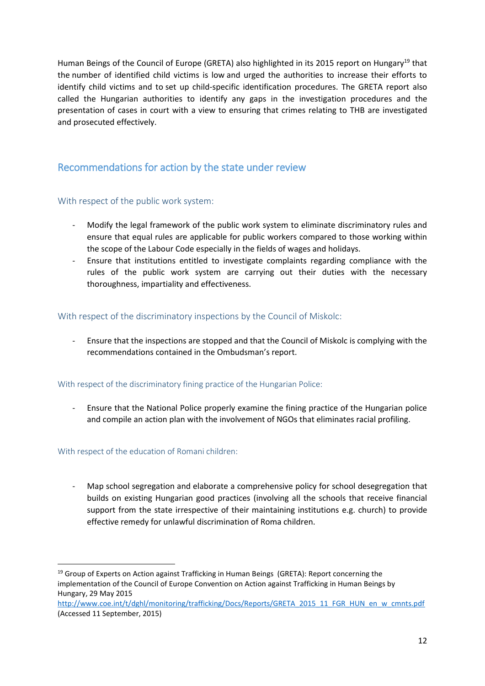Human Beings of the Council of Europe (GRETA) also highlighted in its 2015 report on Hungary<sup>19</sup> that the number of identified child victims is low and urged the authorities to increase their efforts to identify child victims and to set up child-specific identification procedures. The GRETA report also called the Hungarian authorities to identify any gaps in the investigation procedures and the presentation of cases in court with a view to ensuring that crimes relating to THB are investigated and prosecuted effectively.

## <span id="page-11-0"></span>Recommendations for action by the state under review

#### <span id="page-11-1"></span>With respect of the public work system:

- Modify the legal framework of the public work system to eliminate discriminatory rules and ensure that equal rules are applicable for public workers compared to those working within the scope of the Labour Code especially in the fields of wages and holidays.
- Ensure that institutions entitled to investigate complaints regarding compliance with the rules of the public work system are carrying out their duties with the necessary thoroughness, impartiality and effectiveness.

#### <span id="page-11-2"></span>With respect of the discriminatory inspections by the Council of Miskolc:

- Ensure that the inspections are stopped and that the Council of Miskolc is complying with the recommendations contained in the Ombudsman's report.

#### <span id="page-11-3"></span>With respect of the discriminatory fining practice of the Hungarian Police:

- Ensure that the National Police properly examine the fining practice of the Hungarian police and compile an action plan with the involvement of NGOs that eliminates racial profiling.

#### <span id="page-11-4"></span>With respect of the education of Romani children:

**.** 

- Map school segregation and elaborate a comprehensive policy for school desegregation that builds on existing Hungarian good practices (involving all the schools that receive financial support from the state irrespective of their maintaining institutions e.g. church) to provide effective remedy for unlawful discrimination of Roma children.

 $19$  Group of Experts on Action against Trafficking in Human Beings (GRETA): Report concerning the implementation of the Council of Europe Convention on Action against Trafficking in Human Beings by Hungary, 29 May 2015

[http://www.coe.int/t/dghl/monitoring/trafficking/Docs/Reports/GRETA\\_2015\\_11\\_FGR\\_HUN\\_en\\_w\\_cmnts.pdf](http://www.coe.int/t/dghl/monitoring/trafficking/Docs/Reports/GRETA_2015_11_FGR_HUN_en_w_cmnts.pdf) (Accessed 11 September, 2015)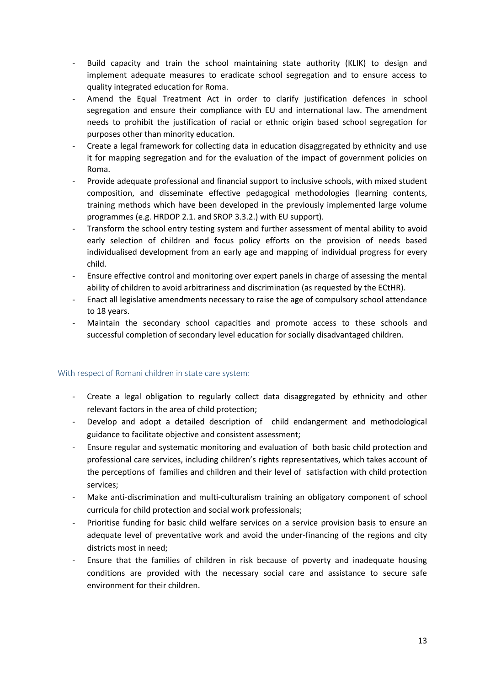- Build capacity and train the school maintaining state authority (KLIK) to design and implement adequate measures to eradicate school segregation and to ensure access to quality integrated education for Roma.
- Amend the Equal Treatment Act in order to clarify justification defences in school segregation and ensure their compliance with EU and international law. The amendment needs to prohibit the justification of racial or ethnic origin based school segregation for purposes other than minority education.
- Create a legal framework for collecting data in education disaggregated by ethnicity and use it for mapping segregation and for the evaluation of the impact of government policies on Roma.
- Provide adequate professional and financial support to inclusive schools, with mixed student composition, and disseminate effective pedagogical methodologies (learning contents, training methods which have been developed in the previously implemented large volume programmes (e.g. HRDOP 2.1. and SROP 3.3.2.) with EU support).
- Transform the school entry testing system and further assessment of mental ability to avoid early selection of children and focus policy efforts on the provision of needs based individualised development from an early age and mapping of individual progress for every child.
- Ensure effective control and monitoring over expert panels in charge of assessing the mental ability of children to avoid arbitrariness and discrimination (as requested by the ECtHR).
- Enact all legislative amendments necessary to raise the age of compulsory school attendance to 18 years.
- Maintain the secondary school capacities and promote access to these schools and successful completion of secondary level education for socially disadvantaged children.

#### <span id="page-12-0"></span>With respect of Romani children in state care system:

- Create a legal obligation to regularly collect data disaggregated by ethnicity and other relevant factors in the area of child protection;
- Develop and adopt a detailed description of child endangerment and methodological guidance to facilitate objective and consistent assessment;
- Ensure regular and systematic monitoring and evaluation of both basic child protection and professional care services, including children's rights representatives, which takes account of the perceptions of families and children and their level of satisfaction with child protection services;
- Make anti-discrimination and multi-culturalism training an obligatory component of school curricula for child protection and social work professionals;
- Prioritise funding for basic child welfare services on a service provision basis to ensure an adequate level of preventative work and avoid the under-financing of the regions and city districts most in need;
- Ensure that the families of children in risk because of poverty and inadequate housing conditions are provided with the necessary social care and assistance to secure safe environment for their children.